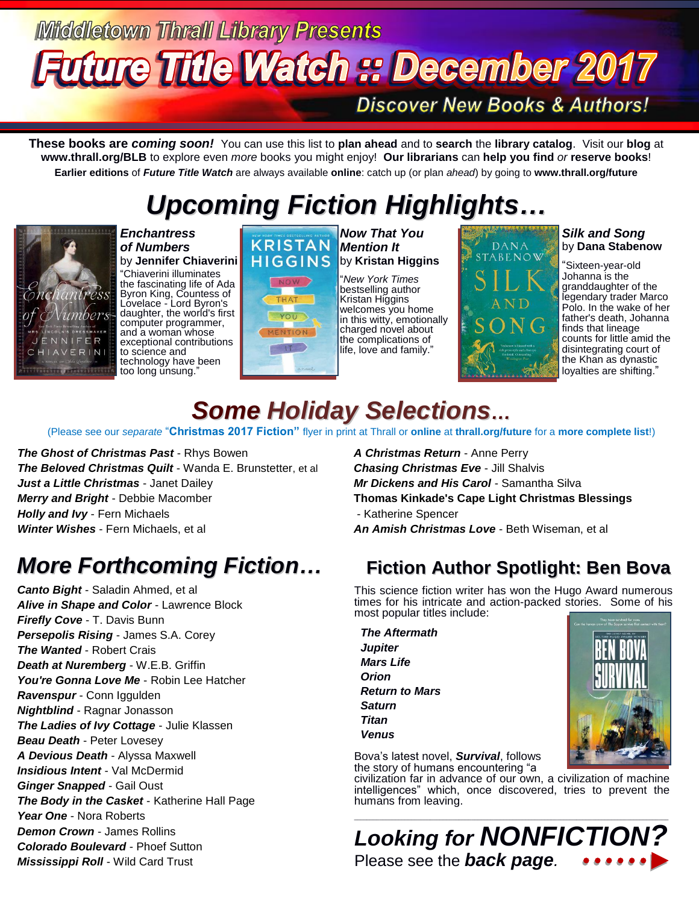# **Middletown Thrall Library Presents Future Title Watch :: December 2017**

**Discover New Books & Authors!** 

**These books are** *coming soon!* You can use this list to **plan ahead** and to **search** the **library catalog**. Visit our **blog** at **www.thrall.org/BLB** to explore even *more* books you might enjoy! **Our librarians** can **help you find** *or* **reserve books**! **Earlier editions** of *Future Title Watch* are always available **online**: catch up (or plan *ahead*) by going to **www.thrall.org/future**

# *Upcoming Fiction Highlights…*



*Enchantress of Numbers* by **Jennifer Chiaverini**

"Chiaverini illuminates the fascinating life of Ada Byron King, Countess of Lovelace - Lord Byron's daughter, the world's first computer programmer, and a woman whose exceptional contributions to science and technology have been too long unsung."

#### *Now That You* **KRISTAN HIGGINS**



*Mention It* by **Kristan Higgins** "*New York Times* 

bestselling author Kristan Higgins welcomes you home in this witty, emotionally charged novel about the complications of life, love and family."



#### *Silk and Song* by **Dana Stabenow**

"Sixteen-year-old Johanna is the granddaughter of the legendary trader Marco Polo. In the wake of her father's death, Johanna finds that lineage counts for little amid the disintegrating court of the Khan as dynastic loyalties are shifting."

# *Some Holiday Selections…*

(Please see our *separate* "**Christmas 2017 Fiction"** flyer in print at Thrall or **online** at **[thrall.org/future](http://www.thrall.org/future)** for a **more complete list**!)

*The Ghost of Christmas Past* - Rhys Bowen *The Beloved Christmas Quilt* - Wanda E. Brunstetter, et al *Just a Little Christmas* - Janet Dailey *Merry and Bright* - Debbie Macomber *Holly and Ivy* - Fern Michaels *Winter Wishes* - Fern Michaels, et al

### *More Forthcoming Fiction…*

*Canto Bight* - Saladin Ahmed, et al *Alive in Shape and Color* - Lawrence Block *Firefly Cove* - T. Davis Bunn *Persepolis Rising* - James S.A. Corey *The Wanted* - Robert Crais *Death at Nuremberg* - W.E.B. Griffin *You're Gonna Love Me* - Robin Lee Hatcher *Ravenspur* - Conn Iggulden *Nightblind* - Ragnar Jonasson *The Ladies of Ivy Cottage* - Julie Klassen *Beau Death* - Peter Lovesey *A Devious Death* - Alyssa Maxwell *Insidious Intent* - Val McDermid *Ginger Snapped* - Gail Oust *The Body in the Casket* - Katherine Hall Page *Year One* - Nora Roberts *Demon Crown* - James Rollins *Colorado Boulevard* - Phoef Sutton *Mississippi Roll* - Wild Card Trust

*A Christmas Return* - Anne Perry *Chasing Christmas Eve* - Jill Shalvis *Mr Dickens and His Carol* - Samantha Silva **Thomas Kinkade's Cape Light Christmas Blessings** - Katherine Spencer *An Amish Christmas Love* - Beth Wiseman, et al

### **Fiction Author Spotlight: Ben Bova**

This science fiction writer has won the Hugo Award numerous times for his intricate and action-packed stories. Some of his most popular titles include:

 *The Aftermath Jupiter Mars Life Orion Return to Mars Saturn Titan Venus*



Bova's latest novel, *Survival*, follows the story of humans encountering "a

civilization far in advance of our own, a civilization of machine intelligences" which, once discovered, tries to prevent the humans from leaving.